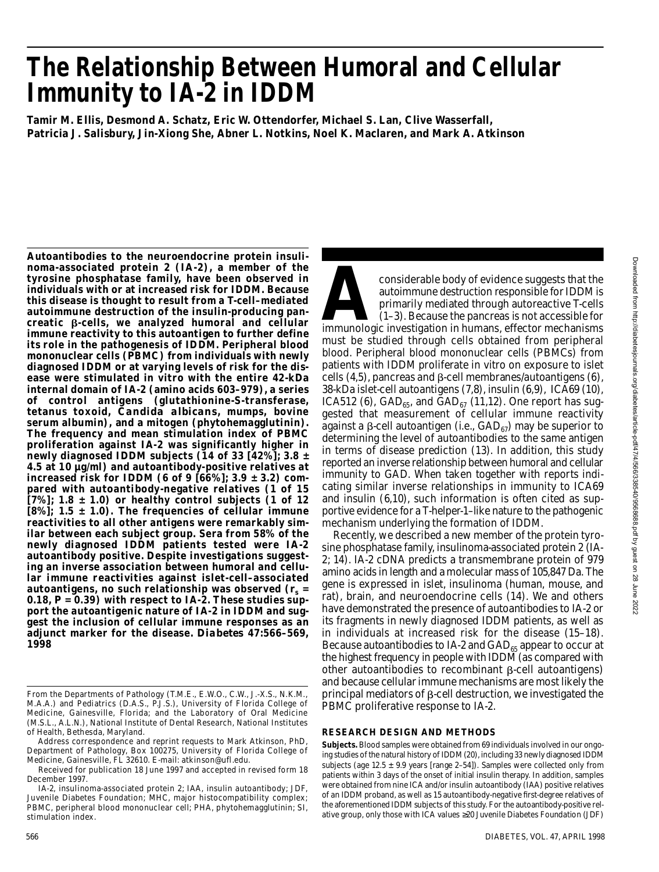# **The Relationship Between Humoral and Cellular Immunity to IA-2 in IDDM**

**Tamir M. Ellis, Desmond A. Schatz, Eric W. Ottendorfer, Michael S. Lan, Clive Wasserfall, Patricia J. Salisbury, Jin-Xiong She, Abner L. Notkins, Noel K. Maclaren, and Mark A. Atkinson**

**Autoantibodies to the neuroendocrine protein insulinoma-associated protein 2 (IA-2), a member of the tyrosine phosphatase family, have been observed in individuals with or at increased risk for IDDM. Because** this disease is thought to result from a **T-cell-mediated autoimmune destruction of the insulin-producing pan**creatic **B-cells, we analyzed humoral and cellular immune reactivity to this autoantigen to further define its role in the pathogenesis of IDDM. Peripheral blood mononuclear cells (PBMC) from individuals with newly diagnosed IDDM or at varying levels of risk for the disease were stimulated in vitro with the entire 42-kDa internal domain of IA-2 (amino acids 603–979), a series of control antigens (glutathionine-S-transferase, tetanus toxoid,** *Candida albicans***, mumps, bovine serum albumin), and a mitogen (phytohemagglutinin). The frequency and mean stimulation index of PBMC proliferation against IA-2 was significantly higher in newly diagnosed IDDM subjects (14 of 33 [42%]; 3.8 ± 4.5 at 10 µg/ml) and autoantibody-positive relatives at increased risk for IDDM (6 of 9 [66%]; 3.9 ± 3.2) compared with autoantibody-negative relatives (1 of 15 [7%]; 1.8 ± 1.0) or healthy control subjects (1 of 12 [8%]; 1.5 ± 1.0). The frequencies of cellular immune reactivities to all other antigens were remarkably similar between each subject group. Sera from 58% of the newly diagnosed IDDM patients tested were IA-2 autoantibody positive. Despite investigations suggesting an inverse association between humoral and cellular immune reactivities against islet-cell–associated autoantigens, no such relationship was observed (***r<sup>s</sup>* **= 0.18,** *P* **= 0.39) with respect to IA-2. These studies support the autoantigenic nature of IA-2 in IDDM and suggest the inclusion of cellular immune responses as an** adjunct marker for the disease. *Diabetes* 47:566–569, **1 9 9 8**

considerable body of evidence suggests that the<br>autoimmune destruction responsible for IDDM is<br>primarily mediated through autoreactive T-cells<br>(1–3). Because the pancreas is not accessible for<br>immunologic investigation in considerable body of evidence suggests that the autoimmune destruction responsible for IDDM is primarily mediated through autoreactive T-cells (1–3). Because the pancreas is not accessible for must be studied through cells obtained from peripheral blood. Peripheral blood mononuclear cells (PBMCs) from patients with IDDM proliferate in vitro on exposure to islet cells  $(4,5)$ , pancreas and  $\beta$ -cell membranes/autoantigens  $(6)$ , 38-kDa islet-cell autoantigens (7,8), insulin (6,9), ICA69 (10), ICA512 (6), GAD<sub>65</sub>, and GAD<sub>67</sub> (11,12). One report has suggested that measurement of cellular immune reactivity against a  $\beta$ -cell autoantigen (i.e., GAD $_{67}$ ) may be superior to determining the level of autoantibodies to the same antigen in terms of disease prediction (13). In addition, this study reported an inverse relationship between humoral and cellular immunity to GAD. When taken together with reports indicating similar inverse relationships in immunity to ICA69 and insulin (6,10), such information is often cited as supportive evidence for a T-helper-1–like nature to the pathogenic mechanism underlying the formation of IDDM.

Recently, we described a new member of the protein tyrosine phosphatase family, insulinoma-associated protein 2 (IA-2; 14). IA-2 cDNA predicts a transmembrane protein of 979 amino acids in length and a molecular mass of 105,847 Da. The gene is expressed in islet, insulinoma (human, mouse, and rat), brain, and neuroendocrine cells (14). We and others have demonstrated the presence of autoantibodies to IA-2 or its fragments in newly diagnosed IDDM patients, as well as in individuals at increased risk for the disease (15–18). Because autoantibodies to IA-2 and  $GAD_{65}$  appear to occur at the highest frequency in people with IDDM (as compared with other autoantibodies to recombinant  $\beta$ -cell autoantigens) and because cellular immune mechanisms are most likely the principal mediators of  $\beta$ -cell destruction, we investigated the PBMC proliferative response to IA-2.

## **RESEARCH DESIGN AND METHODS**

Subjects. Blood samples were obtained from 69 individuals involved in our ongoing studies of the natural history of IDDM (20), including 33 newly diagnosed IDDM subjects (age 12.5  $\pm$  9.9 years [range 2–54]). Samples were collected only from patients within 3 days of the onset of initial insulin therapy. In addition, samples were obtained from nine ICA and/or insulin autoantibody (IAA) positive relatives of an IDDM proband, as well as 15 autoantibody-negative first-degree relatives of the aforementioned IDDM subjects of this study. For the autoantibody-positive relative group, only those with ICA values 20 Juvenile Diabetes Foundation (JDF)

From the Departments of Pathology (T.M.E., E.W.O., C.W., J.-X.S., N.K.M., M.A.A.) and Pediatrics (D.A.S., P.J.S.), University of Florida College of Medicine, Gainesville, Florida; and the Laboratory of Oral Medicine (M.S.L., A.L.N.), National Institute of Dental Research, National Institutes of Health, Bethesda, Maryland.

Address correspondence and reprint requests to Mark Atkinson, PhD, Department of Pathology, Box 100275, University of Florida College of Medicine, Gainesville, FL 32610. E-mail: atkinson@ufl.edu.

Received for publication 18 June 1997 and accepted in revised form 18 December 1997.

IA-2, insulinoma-associated protein 2; IAA, insulin autoantibody; JDF, Juvenile Diabetes Foundation; MHC, major histocompatibility complex; PBMC, peripheral blood mononuclear cell; PHA, phytohemagglutinin; SI, stimulation index.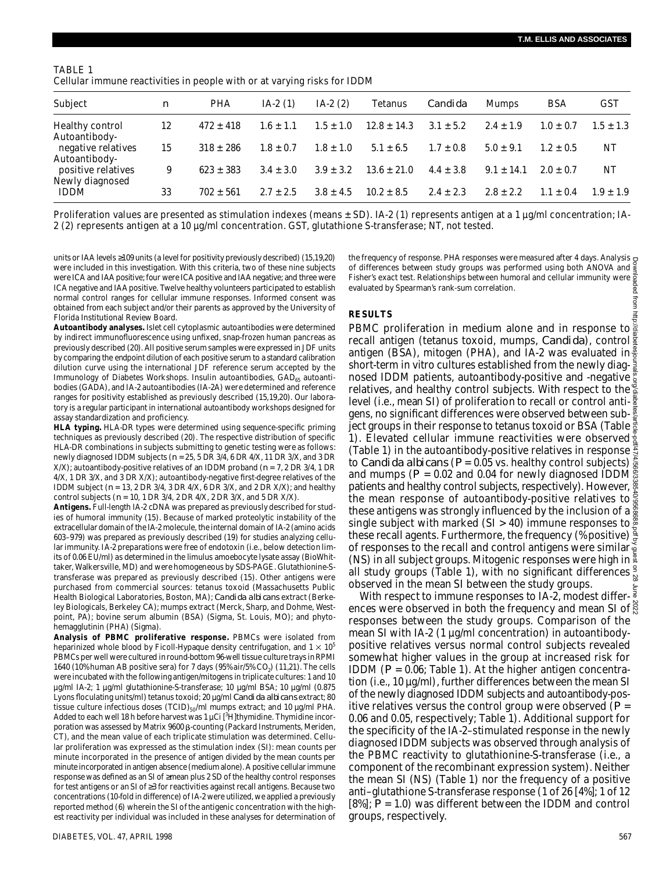mom

| TABLE 1                                                                  |  |
|--------------------------------------------------------------------------|--|
| Cellular immune reactivities in people with or at varying risks for IDDM |  |

| Subject                               | $\boldsymbol{n}$ | <b>PHA</b>    | $IA-2(1)$     | $IA-2(2)$     | <b>Tetanus</b>  | Candida       | Mumps          | <b>BSA</b>    | <b>GST</b>    |
|---------------------------------------|------------------|---------------|---------------|---------------|-----------------|---------------|----------------|---------------|---------------|
| Healthy control<br>Autoantibody-      | 12               | $472 \pm 418$ | $1.6 \pm 1.1$ | $1.5 \pm 1.0$ | $12.8 \pm 14.3$ | $3.1 \pm 5.2$ | $2.4 \pm 1.9$  | $1.0 \pm 0.7$ | $1.5 \pm 1.3$ |
| negative relatives<br>Autoantibody-   | 15               | $318 \pm 286$ | $1.8 \pm 0.7$ | $1.8 \pm 1.0$ | $5.1 \pm 6.5$   | $1.7 + 0.8$   | $5.0 \pm 9.1$  | $1.2 + 0.5$   | NΤ            |
| positive relatives<br>Newly diagnosed | 9                | $623 \pm 383$ | $3.4 \pm 3.0$ | $3.9 \pm 3.2$ | $13.6 \pm 21.0$ | $4.4 \pm 3.8$ | $9.1 \pm 14.1$ | $2.0 + 0.7$   | NΤ            |
| <b>IDDM</b>                           | 33               | $702 + 561$   | $2.7 + 2.5$   | $3.8 \pm 4.5$ | $10.2 \pm 8.5$  | $2.4 \pm 2.3$ | $2.8 + 2.2$    | $1.1 + 0.4$   | $1.9 + 1.9$   |

Proliferation values are presented as stimulation indexes (means  $\pm$  SD). IA-2 (1) represents antigen at a 1  $\mu q/m$ I concentration; IA-2 (2) represents antigen at a 10 µg/ml concentration. GST, glutathione S-transferase; NT, not tested.

units or IAA levels 109 units (a level for positivity previously described) (15,19,20) were included in this investigation. With this criteria, two of these nine subjects were ICA and IAA positive; four were ICA positive and IAA negative; and three were ICA negative and IAA positive. Twelve healthy volunteers participated to establish normal control ranges for cellular immune responses. Informed consent was obtained from each subject and/or their parents as approved by the University of Florida Institutional Review Board.

**Autoantibody analyses.** Islet cell cytoplasmic autoantibodies were determined by indirect immunofluorescence using unfixed, snap-frozen human pancreas as previously described (20). All positive serum samples were expressed in JDF units by comparing the endpoint dilution of each positive serum to a standard calibration dilution curve using the international JDF reference serum accepted by the Immunology of Diabetes Workshops. Insulin autoantibodies, GAD<sub>65</sub> autoantibodies (GADA), and IA-2 autoantibodies (IA-2A) were determined and reference ranges for positivity established as previously described (15,19,20). Our laboratory is a regular participant in international autoantibody workshops designed for assay standardization and proficiency.

**HLA typing.** HLA-DR types were determined using sequence-specific priming techniques as previously described (20). The respective distribution of specific HLA-DR combinations in subjects submitting to genetic testing were as follows: newly diagnosed IDDM subjects (*n* = 25, 5 DR 3/4, 6 DR 4/X, 11 DR 3/X, and 3 DR X/X); autoantibody-positive relatives of an IDDM proband (*n* = 7, 2 DR 3/4, 1 DR 4/X, 1 DR 3/X, and 3 DR X/X); autoantibody-negative first-degree relatives of the IDDM subject (*n* = 13, 2 DR 3/4, 3 DR 4/X, 6 DR 3/X, and 2 DR X/X); and healthy control subjects (*n* = 10, 1 DR 3/4, 2 DR 4/X, 2 DR 3/X, and 5 DR X/X).

Antigens. Full-length IA-2 cDNA was prepared as previously described for studies of humoral immunity (15). Because of marked proteolytic instability of the extracellular domain of the IA-2 molecule, the internal domain of IA-2 (amino acids 603–979) was prepared as previously described (19) for studies analyzing cellular immunity. IA-2 preparations were free of endotoxin (i.e., below detection limits of 0.06 EU/ml) as determined in the limulus amoebocyte lysate assay (BioWhittaker, Walkersville, MD) and were homogeneous by SDS-PAGE. Glutathionine-Stransferase was prepared as previously described (15). Other antigens were purchased from commercial sources: tetanus toxoid (Massachusetts Public Health Biological Laboratories, Boston, MA); *Candida albicans* extract (Berkeley Biologicals, Berkeley CA); mumps extract (Merck, Sharp, and Dohme, Westpoint, PA); bovine serum albumin (BSA) (Sigma, St. Louis, MO); and phytohemagglutinin (PHA) (Sigma).

**Analysis of PBMC proliferative response.** PBMCs were isolated from heparinized whole blood by Ficoll-Hypaque density centrifugation, and  $1 \times 10^5$ PBMCs per well were cultured in round-bottom 96-well tissue culture trays in RPMI 1640 (10% human AB positive sera) for 7 days (95% air/5% CO<sub>2</sub>) (11,21). The cells were incubated with the following antigen/mitogens in triplicate cultures: 1 and 10 µg/ml IA-2; 1 µg/ml glutathionine-S-transferase; 10 µg/ml BSA; 10 µg/ml (0.875 Lyons floculating units/ml) tetanus toxoid; 20 µg/ml *Candida albicans* extract; 80 tissue culture infectious doses (TCID)<sub>50</sub>/ml mumps extract; and 10 µg/ml PHA. Added to each well 18 h before harvest was 1  $\mu$ Ci [ $3$ H]thymidine. Thymidine incorporation was assessed by Matrix 9600 B-counting (Packard Instruments, Meriden, CT), and the mean value of each triplicate stimulation was determined. Cellular proliferation was expressed as the stimulation index (SI): mean counts per minute incorporated in the presence of antigen divided by the mean counts per minute incorporated in antigen absence (medium alone). A positive cellular immune response was defined as an SI of mean plus 2 SD of the healthy control responses for test antigens or an SI of 3 for reactivities against recall antigens. Because two concentrations (10-fold in difference) of IA-2 were utilized, we applied a previously reported method (6) wherein the SI of the antigenic concentration with the highest reactivity per individual was included in these analyses for determination of

the frequency of response. PHA responses were measured after 4 days. Analysis of differences between study groups was performed using both ANOVA and Fisher's exact test. Relationships between humoral and cellular immunity were evaluated by Spearman's rank-sum correlation. pep

### **RESULTS**

PBMC proliferation in medium alone and in response to recall antigen (tetanus toxoid, mumps, *Candida*), control<sup>g</sup> antigen (BSA), mitogen (PHA), and IA-2 was evaluated in  $\frac{8}{6}$ short-term in vitro cultures established from the newly diagnosed IDDM patients, autoantibody-positive and -negative relatives, and healthy control subjects. With respect to the level (i.e., mean SI) of proliferation to recall or control antigens, no significant differences were observed between subject groups in their response to tetanus toxoid or BSA (Table  $\frac{1}{6}$ 1). Elevated cellular immune reactivities were observed  $\frac{2}{5}$ (Table 1) in the autoantibody-positive relatives in response  $\tilde{\ddot{\mathbf{s}}}$ to *Candida albicans* (*P* = 0.05 vs. healthy control subjects) and mumps ( $P = 0.02$  and 0.04 for newly diagnosed IDDM  $\frac{8}{32}$ patients and healthy control subjects, respectively). However,  $\frac{8}{5}$ the mean response of autoantibody-positive relatives to these antigens was strongly influenced by the inclusion of a single subject with marked (SI > 40) immune responses to these recall agents. Furthermore, the frequency (% positive) of responses to the recall and control antigens were similar (NS) in all subject groups. Mitogenic responses were high in all study groups (Table 1), with no significant differences  $\frac{9}{5}$ observed in the mean SI between the study groups. Downloaded from http://diabetesjournals.org/diabetes/article-pdf/47/4/566/338540/9568688.pdf by guest on 28 June 2022

With respect to immune responses to IA-2, modest differ- $\frac{3}{5}$ ences were observed in both the frequency and mean SI of  $\frac{8}{65}$ responses between the study groups. Comparison of the mean SI with IA-2 (1 µg/ml concentration) in autoantibodypositive relatives versus normal control subjects revealed somewhat higher values in the group at increased risk for IDDM (*P* = 0.06; Table 1). At the higher antigen concentration (i.e., 10 µg/ml), further differences between the mean SI of the newly diagnosed IDDM subjects and autoantibody-positive relatives versus the control group were observed (*P* = 0.06 and 0.05, respectively; Table 1). Additional support for the specificity of the IA-2–stimulated response in the newly diagnosed IDDM subjects was observed through analysis of the PBMC reactivity to glutathionine-S-transferase (i.e., a component of the recombinant expression system). Neither the mean SI (NS) (Table 1) nor the frequency of a positive anti–glutathione S-transferase response (1 of 26 [4%]; 1 of 12 [8%]; *P* = 1.0) was different between the IDDM and control groups, respectively.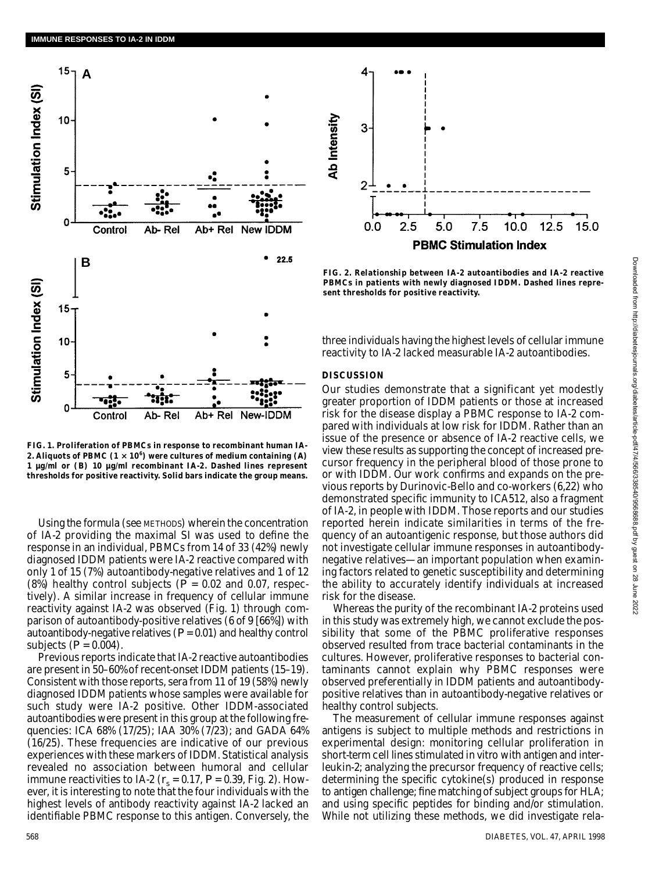

**FIG. 1. Proliferation of PBMCs in response to recombinant human IA-**2. Aliquots of PBMC  $(1 \times 10^6)$  were cultures of medium containing  $(A)$ **1 µg/ml or (***B***) 10 µg/ml recombinant IA-2. Dashed lines represent thresholds for positive reactivity. Solid bars indicate the group means.**

Using the formula (see METHODS) wherein the concentration of IA-2 providing the maximal SI was used to define the response in an individual, PBMCs from 14 of 33 (42%) newly diagnosed IDDM patients were IA-2 reactive compared with only 1 of 15 (7%) autoantibody-negative relatives and 1 of 12 (8%) healthy control subjects ( $\overline{P}$  = 0.02 and 0.07, respectively). A similar increase in frequency of cellular immune reactivity against IA-2 was observed (Fig. 1) through comparison of autoantibody-positive relatives (6 of 9 [66%]) with autoantibody-negative relatives (*P* = 0.01) and healthy control subjects  $(P = 0.004)$ .

Previous reports indicate that IA-2 reactive autoantibodies are present in 50–60% of recent-onset IDDM patients (15–19). Consistent with those reports, sera from 11 of 19 (58%) newly diagnosed IDDM patients whose samples were available for such study were IA-2 positive. Other IDDM-associated autoantibodies were present in this group at the following frequencies: ICA 68% (17/25); IAA 30% (7/23); and GADA 64% (16/25). These frequencies are indicative of our previous experiences with these markers of IDDM. Statistical analysis revealed no association between humoral and cellular immune reactivities to IA-2 ( $r<sub>s</sub>$  = 0.17,  $P$  = 0.39, Fig. 2). However, it is interesting to note that the four individuals with the highest levels of antibody reactivity against IA-2 lacked an identifiable PBMC response to this antigen. Conversely, the



**FIG. 2. Relationship between IA-2 autoantibodies and IA-2 reactive PBMCs in patients with newly diagnosed IDDM. Dashed lines represent thresholds for positive reactivity.**

three individuals having the highest levels of cellular immune reactivity to IA-2 lacked measurable IA-2 autoantibodies.

### **DISCUSSION**

Our studies demonstrate that a significant yet modestly greater proportion of IDDM patients or those at increased risk for the disease display a PBMC response to IA-2 compared with individuals at low risk for IDDM. Rather than an issue of the presence or absence of IA-2 reactive cells, we view these results as supporting the concept of increased precursor frequency in the peripheral blood of those prone to or with IDDM. Our work confirms and expands on the previous reports by Durinovic-Bello and co-workers (6,22) who demonstrated specific immunity to ICA512, also a fragment of IA-2, in people with IDDM. Those reports and our studies reported herein indicate similarities in terms of the frequency of an autoantigenic response, but those authors did not investigate cellular immune responses in autoantibodynegative relatives—an important population when examining factors related to genetic susceptibility and determining the ability to accurately identify individuals at increased risk for the disease.

Whereas the purity of the recombinant IA-2 proteins used in this study was extremely high, we cannot exclude the possibility that some of the PBMC proliferative responses observed resulted from trace bacterial contaminants in the cultures. However, proliferative responses to bacterial contaminants cannot explain why PBMC responses were observed preferentially in IDDM patients and autoantibodypositive relatives than in autoantibody-negative relatives or healthy control subjects.

The measurement of cellular immune responses against antigens is subject to multiple methods and restrictions in experimental design: monitoring cellular proliferation in short-term cell lines stimulated in vitro with antigen and interleukin-2; analyzing the precursor frequency of reactive cells; determining the specific cytokine(s) produced in response to antigen challenge; fine matching of subject groups for HLA; and using specific peptides for binding and/or stimulation. While not utilizing these methods, we did investigate rela-